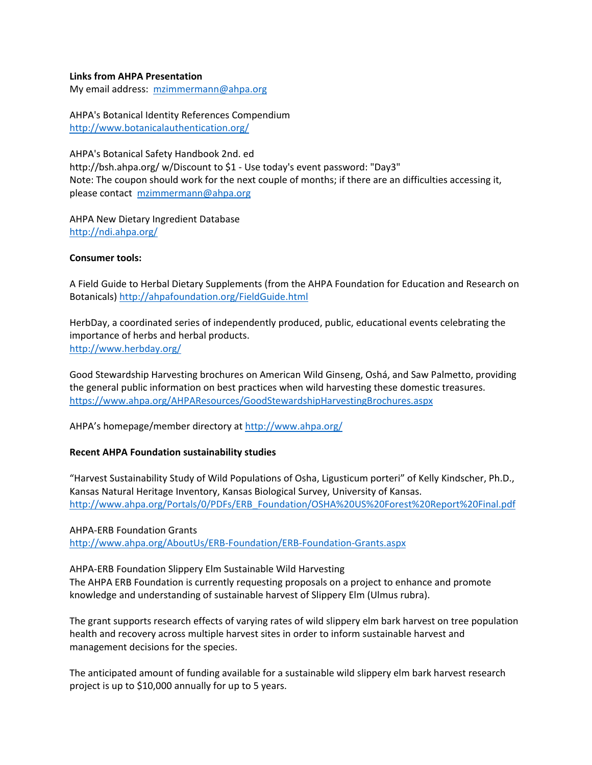## **Links from AHPA Presentation**

My email address: [mzimmermann@ahpa.org](mailto:mzimmermann@ahpa.org)

AHPA's Botanical Identity References Compendium <http://www.botanicalauthentication.org/>

AHPA's Botanical Safety Handbook 2nd. ed http://bsh.ahpa.org/ w/Discount to \$1 - Use today's event password: "Day3" Note: The coupon should work for the next couple of months; if there are an difficulties accessing it, please contact [mzimmermann@ahpa.org](mailto:mzimmermann@ahpa.org)

AHPA New Dietary Ingredient Database <http://ndi.ahpa.org/>

## **Consumer tools:**

A Field Guide to Herbal Dietary Supplements (from the AHPA Foundation for Education and Research on Botanicals[\) http://ahpafoundation.org/FieldGuide.html](http://ahpafoundation.org/FieldGuide.html) 

HerbDay, a coordinated series of independently produced, public, educational events celebrating the importance of herbs and herbal products. <http://www.herbday.org/>

Good Stewardship Harvesting brochures on American Wild Ginseng, Oshá, and Saw Palmetto, providing the general public information on best practices when wild harvesting these domestic treasures. <https://www.ahpa.org/AHPAResources/GoodStewardshipHarvestingBrochures.aspx>

AHPA's homepage/member directory a[t http://www.ahpa.org/](http://www.ahpa.org/) 

## **Recent AHPA Foundation sustainability studies**

"Harvest Sustainability Study of Wild Populations of Osha, Ligusticum porteri" of Kelly Kindscher, Ph.D., Kansas Natural Heritage Inventory, Kansas Biological Survey, University of Kansas. [http://www.ahpa.org/Portals/0/PDFs/ERB\\_Foundation/OSHA%20US%20Forest%20Report%20Final.pdf](http://www.ahpa.org/Portals/0/PDFs/ERB_Foundation/OSHA%20US%20Forest%20Report%20Final.pdf) 

AHPA-ERB Foundation Grants <http://www.ahpa.org/AboutUs/ERB-Foundation/ERB-Foundation-Grants.aspx>

AHPA-ERB Foundation Slippery Elm Sustainable Wild Harvesting The AHPA ERB Foundation is currently requesting proposals on a project to enhance and promote knowledge and understanding of sustainable harvest of Slippery Elm (Ulmus rubra).

The grant supports research effects of varying rates of wild slippery elm bark harvest on tree population health and recovery across multiple harvest sites in order to inform sustainable harvest and management decisions for the species.

The anticipated amount of funding available for a sustainable wild slippery elm bark harvest research project is up to \$10,000 annually for up to 5 years.